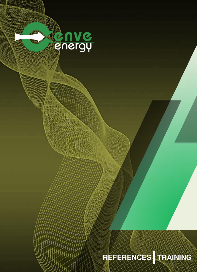# **C NVC**<br>GNC DV

## **REFERENCES TRAINING**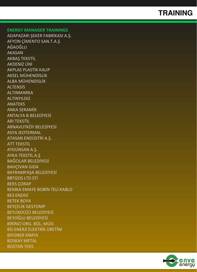ADAPAZARI ŞEKER FABRİKASI A.Ş. AFYON ÇİMENTO SAN.T.A.Ş **AĞAOĞIU** AKASAN AKBAŞ TEKSTİL AKDENİZ ÜNİ AKPLAS PLASTİK KALIP AKSEL MÜHENDİSLİK ALBA MÜHENDİSLİK **ALTENSIS** ALTINMARKA ALTINYILDIZ ANATEKS ANKA SERAMİK ANTALYA B.BELEDİYESİ ARI TEKSTİL ARNAVUTKÖY BELEDİYESİ ASYA JEOTERMAL ATASAN ENDÜSTRİ A.Ş. ATT TEKSTİL AYGÜNSAN A.Ş. AYKA TEKSTİL A.Ş BAĞCILAR BELEDİYESİ BAHÇİVAN GIDA BAYRAMPAŞA BELEDİYESİ BBTGOS LTD STİ **BEKS CORAP** BEMKA EMAYE BOBİN TELİ KABLO BES ENERJİ BETEK BOYA BEYÇELİK GESTOMP BEYLİKDÜZÜ BELEDİYESİ BEYOĞLU BELEDİYESİ BİRİNCİ ORG. BÖL. MÜD. BİS ENERJİ ELEKTRİK ÜRETİM BİYONER KİMYA BOSKAY METAL BOSTAN TEKS

**ENERGY MANAGER TRAININGS**

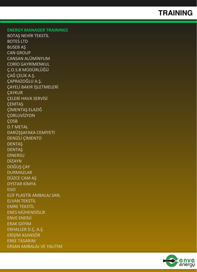#### **ENERGY MANAGER TRAININGS**

BOTAŞ NEHİR TEKSTİL BOTES LTD BUSEB AŞ CAN GROUP CANSAN ALÜMİNYUM CORİO GAYRİMENKUL Ç.O.S.B MÜDÜRLÜĞÜ ÇAĞ ÇELİK A.Ş. ÇAPRAZOĞLU A.Ş. ÇAYELİ BAKIR İŞLETMELERİ **CAYKUR** ÇELEBİ HAVA SERVİSİ ÇEMTAŞ ÇİMENTAŞ ELAZIĞ **CORLUVIZYON** ÇOSB D.T METAL DARÜSSAFAKA CEMİYETİ DENİZLİ ÇİMENTO **DENTAS** DENTAŞ DİNERSU DİZAYN DOĞUŞ ÇAY DURMAZLAR DÜZCE CAM AŞ DYSTAR KİMYA **FGO** ELİF PLASTİK AMBALAJ SAN. ELVAN TEKSTİL EMRE TEKSTİL ENES MÜHENDİSLİK ENVE ENERJİ ERAK GİİYİM ERHALLER D.Ç. A.Ş. ERİŞİM ASANSÖR ERKE TASARIM ERSAN AMBALAJ VE YALITIM

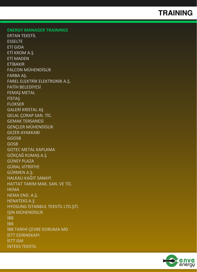ERTAN TEKSTİL ESSELTE ETİ GIDA ETİ KROM A.Ş ETİ MADEN **FTİRAKIR** FALCON MÜHENDİSLİK FARBA AŞ. FAREL ELEKTRİK ELEKTRONİK A.Ş. FATİH BELEDİYESİ FEMAŞ METAL **FISTAS** FLOKSER GALERİ KRİSTAL AŞ GELAL ÇORAP SAN. TİC. GEMAK TERSANESİ GENÇLER MÜHENDİSLİK GEZER AYAKKABI GGOSB GOSB GOTEC METAL KAPLAMA GÖKÇAĞ KUMAŞ A.Ş GÜNEY PLAZA GÜRAL VİTRİFİYE GÜRMEN A.Ş. HALKALI KAĞIT SANAYİ HATTAT TARIM MAK. SAN. VE TİC. **HFMA** HEMA END. A.Ş. HENATEKS A.Ş HYOSUNG İSTANBUL TEKSTİL LTD.ŞTİ. IŞIN MÜHENDİSLİK İBB İBB İBB TARİHİ ÇEVRE KORUMA MD İETT EDİRNEKAPI **IETT GM** İNTEKS TEKSTİL

**ENERGY MANAGER TRAININGS**

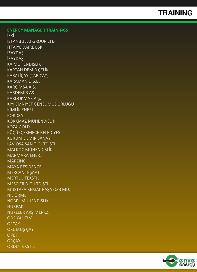**ENERGY MANAGER TRAININGS** İSKİ İSTANBULLU GROUP LTD İTFAİYE DAİRE BŞK İZAYDAŞ **İZAYDAŞ** KA MÜHENDİSLİK KAPTAN DEMİR ÇELİK KARALİÇAY (TAB ÇAY) KARAMAN D.S.B. KARÇİMSA A.Ş. KARDEMİR AŞ KARDÖKMAK A.Ş. KIYI EMNİYET GENEL MÜDÜRLÜĞÜ KİMLİK ENERJİ **KORDSA** KORKMAZ MÜHENDİSLİK KOZA GOLD KÜÇÜKÇEKMECE BELEDİYESİ KÜRÜM DEMİR SANAYİ LAVİOSA SAN.TİC.LTD.STİ. MALKOÇ MÜHENDİSLİK MARMARA ENERJİ MARZİNC MAYA RESİDENCE MERCAN İNŞAAT MERTÜL TEKSTİL MESCİER D.Ç. LTD.ŞTİ. MUSTAFA KEMAL PAŞA OSB MD. NİL ÖRME NOBEL MÜHENDİSLİK NURPAK NÜKLEER ARŞ.MERKZ. ODE YALITIM **OFCAY** OKUMUŞ ÇAY **OPET ORCAY** ORDU TEKSTİL

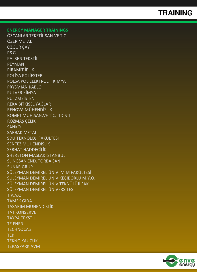**ENERGY MANAGER TRAININGS** ÖZCANLAR TEKSTİL SAN.VE TİC. ÖZER METAL ÖZGÜR CAY P&G PALBEN TEKSTİL PEYMAN PİRAMİT İPLİK POLİYA POLİESTER POLSA POLİELEKTROLİT KİMYA PRYSMİAN KABLO PULVER KİMYA **PUTZMEİSTEN** REKA BİTKİSEL YAĞLAR RENOVA MÜHENDİSLİK ROMET MUH.SAN.VE TİC.LTD.STI RÖZMAŞ ÇELİK **SANKO** SARBAK METAL SDÜ.TEKNOLOJİ FAKÜLTESİ SENTEZ MÜHENDİSLİK SERHAT HADDECİLİK SHERETON MASLAK İSTANBUL SLİNGSAN END. TORBA SAN SUNAR GRUP SÜLEYMAN DEMİREL ÜNİV. MİM FAKÜLTESİ SÜLEYMAN DEMİREL ÜNİV.KEÇİBORLU M.Y.O. SÜLEYMAN DEMİREL ÜNİV.TEKNÜLÜJİ FAK. SÜLEYMAN DEMİREL ÜNİVERSİTESİ T.P.A.O. TAMEK GIDA TASARIM MÜHENDİSLİK **TAT KONSERVE** TAYPA TEKSTİL TE ENERJİ TECHNOCAST TEK TEKNO KAUÇUK TERASPARK AVM

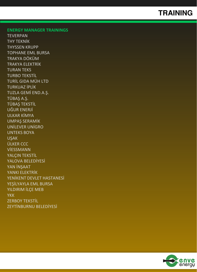#### **ENERGY MANAGER TRAININGS**

TEVERPAN THY TEKNİK THYSSEN KRUPP TOPHANE EML BURSA TRAKYA DÖKÜM TRAKYA ELEKTRİK TURAN TEKS TURBO TEKSTİL TURİL GIDA MÜH LTD TURKUAZ İPLİK TUZLA GEMİ END.A.Ş. TÜBAŞ A.Ş. TÜBAŞ TEKSTİL UĞUR ENERJİ ULKAR KİMYA UMPAŞ SERAMİK UNİLEVER UNİGRO UNTEKS BOYA **USAK** ÜLKER CCC VİESSMANN YALCIN TEKSTİL YALOVA BELEDİYESİ YAN İNSAAT YANKI ELEKTRİK YENİKENT DEVLET HASTANESİ YEŞİLYAYLA EML BURSA YILDIRIM İLÇE MEB YKK ZERBOY TEKSTİL ZEYTİNBURNU BELEDİYESİ